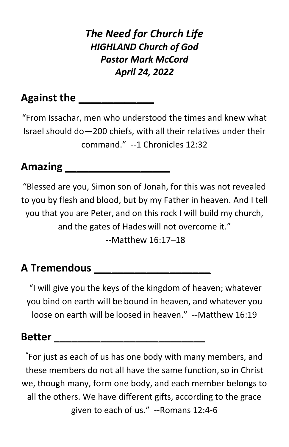*The Need for Church Life HIGHLAND Church of God Pastor Mark McCord April 24, 2022*

### **Against the**

"From Issachar, men who understood the times and knew what Israel should do—200 chiefs, with all their relatives under their command." --1 Chronicles 12:32

## **Amazing \_\_\_\_\_\_\_\_\_\_\_\_\_\_\_\_\_\_**

"Blessed are you, Simon son of Jonah, for this was not revealed to you by flesh and blood, but by my Father in heaven. And I tell you that you are Peter, and on this rock I will build my church, and the gates of Hades will not overcome it." --Matthew 16:17–18

# **A Tremendous \_\_\_\_\_\_\_\_\_\_\_\_\_\_\_\_\_\_\_\_**

"I will give you the keys of the kingdom of heaven; whatever you bind on earth will be bound in heaven, and whatever you loose on earth will be loosed in heaven." --Matthew 16:19

#### **Better \_\_\_\_\_\_\_\_\_\_\_\_\_\_\_\_\_\_\_\_\_\_\_\_\_\_**

" For just as each of us has one body with many members, and these members do not all have the same function, so in Christ we, though many, form one body, and each member belongs to all the others. We have different gifts, according to the grace given to each of us." --Romans 12:4-6